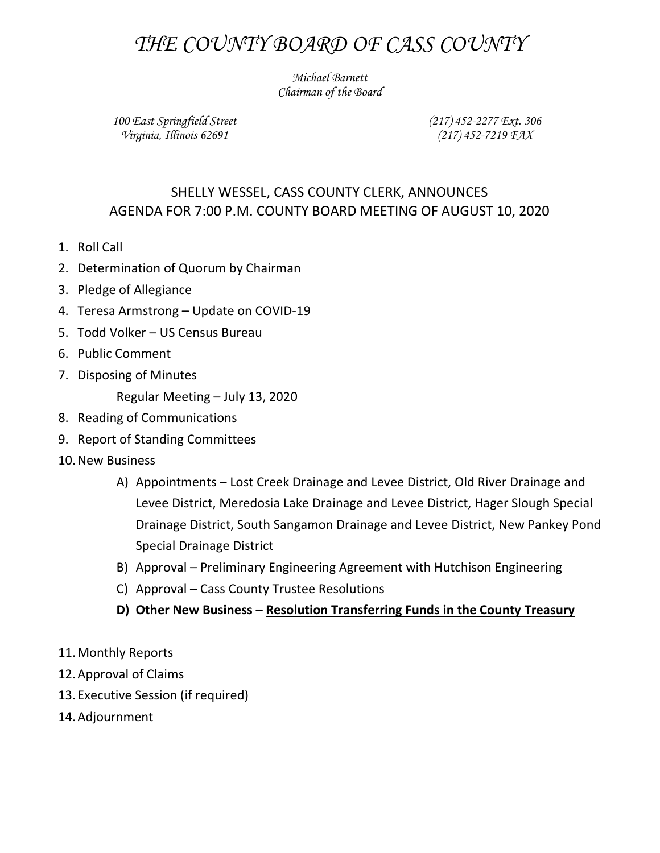## THE COUNTY BOARD OF CASS COUNTY

Michael Barnett Chairman of the Board

100 East Springfield Street Virginia, Illinois 62691

(217) 452-2277 Ext. 306 (217) 452-7219 FAX

## SHELLY WESSEL, CASS COUNTY CLERK, ANNOUNCES AGENDA FOR 7:00 P.M. COUNTY BOARD MEETING OF AUGUST 10, 2020

- 1. Roll Call
- 2. Determination of Quorum by Chairman
- 3. Pledge of Allegiance
- 4. Teresa Armstrong Update on COVID-19
- 5. Todd Volker US Census Bureau
- 6. Public Comment
- 7. Disposing of Minutes

Regular Meeting – July 13, 2020

- 8. Reading of Communications
- 9. Report of Standing Committees
- 10.New Business
	- A) Appointments Lost Creek Drainage and Levee District, Old River Drainage and Levee District, Meredosia Lake Drainage and Levee District, Hager Slough Special Drainage District, South Sangamon Drainage and Levee District, New Pankey Pond Special Drainage District
	- B) Approval Preliminary Engineering Agreement with Hutchison Engineering
	- C) Approval Cass County Trustee Resolutions
	- D) Other New Business Resolution Transferring Funds in the County Treasury
- 11.Monthly Reports
- 12.Approval of Claims
- 13. Executive Session (if required)
- 14.Adjournment